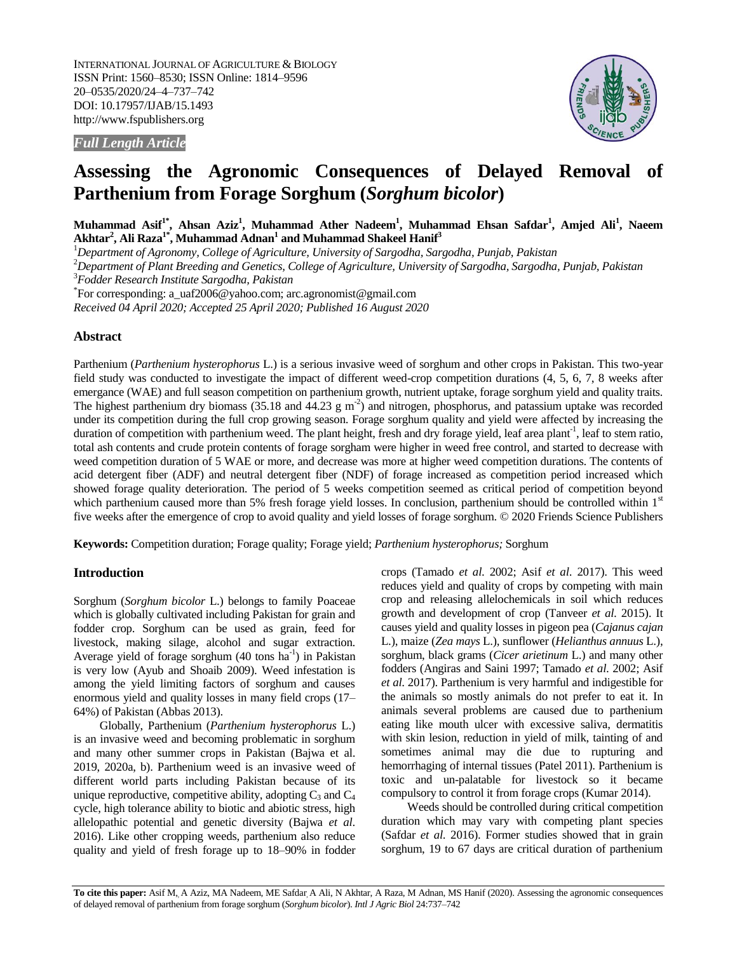INTERNATIONAL JOURNAL OF AGRICULTURE & BIOLOGY ISSN Print: 1560–8530; ISSN Online: 1814–9596 20–0535/2020/24–4–737–742 DOI: 10.17957/IJAB/15.1493 http://www.fspublishers.org



*Full Length Article*

# **Assessing the Agronomic Consequences of Delayed Removal of Parthenium from Forage Sorghum (***Sorghum bicolor***)**

**Muhammad Asif1\*, Ahsan Aziz<sup>1</sup> , Muhammad Ather Nadeem<sup>1</sup> , Muhammad Ehsan Safdar<sup>1</sup> , Amjed Ali<sup>1</sup> , Naeem Akhtar<sup>2</sup> , Ali Raza1\* , Muhammad Adnan<sup>1</sup> and Muhammad Shakeel Hanif<sup>3</sup>**

<sup>1</sup>*Department of Agronomy, College of Agriculture, University of Sargodha, Sargodha, Punjab, Pakistan*

<sup>2</sup>*Department of Plant Breeding and Genetics, College of Agriculture, University of Sargodha, Sargodha, Punjab, Pakistan*

<sup>3</sup>*Fodder Research Institute Sargodha, Pakistan*

\* For corresponding: a\_uaf2006@yahoo.com; arc.agronomist@gmail.com

*Received 04 April 2020; Accepted 25 April 2020; Published 16 August 2020*

# **Abstract**

Parthenium (*Parthenium hysterophorus* L.) is a serious invasive weed of sorghum and other crops in Pakistan. This two-year field study was conducted to investigate the impact of different weed-crop competition durations (4, 5, 6, 7, 8 weeks after emergance (WAE) and full season competition on parthenium growth, nutrient uptake, forage sorghum yield and quality traits. The highest parthenium dry biomass  $(35.18$  and  $44.23$  g m<sup>-2</sup>) and nitrogen, phosphorus, and patassium uptake was recorded under its competition during the full crop growing season. Forage sorghum quality and yield were affected by increasing the duration of competition with parthenium weed. The plant height, fresh and dry forage yield, leaf area plant<sup>-1</sup>, leaf to stem ratio, total ash contents and crude protein contents of forage sorgham were higher in weed free control, and started to decrease with weed competition duration of 5 WAE or more, and decrease was more at higher weed competition durations. The contents of acid detergent fiber (ADF) and neutral detergent fiber (NDF) of forage increased as competition period increased which showed forage quality deterioration. The period of 5 weeks competition seemed as critical period of competition beyond which parthenium caused more than 5% fresh forage yield losses. In conclusion, parthenium should be controlled within  $1<sup>st</sup>$ five weeks after the emergence of crop to avoid quality and yield losses of forage sorghum. © 2020 Friends Science Publishers

**Keywords:** Competition duration; Forage quality; Forage yield; *Parthenium hysterophorus;* Sorghum

# **Introduction**

Sorghum (*Sorghum bicolor* L.) belongs to family Poaceae which is globally cultivated including Pakistan for grain and fodder crop. Sorghum can be used as grain, feed for livestock, making silage, alcohol and sugar extraction. Average yield of forage sorghum (40 tons ha<sup>-1</sup>) in Pakistan is very low (Ayub and Shoaib 2009). Weed infestation is among the yield limiting factors of sorghum and causes enormous yield and quality losses in many field crops (17– 64%) of Pakistan (Abbas 2013).

Globally, Parthenium (*Parthenium hysterophorus* L.) is an invasive weed and becoming problematic in sorghum and many other summer crops in Pakistan (Bajwa et al. 2019, 2020a, b). Parthenium weed is an invasive weed of different world parts including Pakistan because of its unique reproductive, competitive ability, adopting  $C_3$  and  $C_4$ cycle, high tolerance ability to biotic and abiotic stress, high allelopathic potential and genetic diversity (Bajwa *et al*. 2016). Like other cropping weeds, parthenium also reduce quality and yield of fresh forage up to 18–90% in fodder crops (Tamado *et al*. 2002; Asif *et al*. 2017). This weed reduces yield and quality of crops by competing with main crop and releasing allelochemicals in soil which reduces growth and development of crop (Tanveer *et al*. 2015). It causes yield and quality losses in pigeon pea (*Cajanus cajan*  L.), maize (*Zea mays* L.), sunflower (*Helianthus annuus* L.), sorghum, black grams (*Cicer arietinum* L.) and many other fodders (Angiras and Saini 1997; Tamado *et al*. 2002; Asif *et al*. 2017). Parthenium is very harmful and indigestible for the animals so mostly animals do not prefer to eat it. In animals several problems are caused due to parthenium eating like mouth ulcer with excessive saliva, dermatitis with skin lesion, reduction in yield of milk, tainting of and sometimes animal may die due to rupturing and hemorrhaging of internal tissues (Patel 2011). Parthenium is toxic and un-palatable for livestock so it became compulsory to control it from forage crops (Kumar 2014).

Weeds should be controlled during critical competition duration which may vary with competing plant species (Safdar *et al*. 2016). Former studies showed that in grain sorghum, 19 to 67 days are critical duration of parthenium

**To cite this paper:** Asif M,, A Aziz, MA Nadeem, ME Safdar, A Ali, N Akhtar, A Raza, M Adnan, MS Hanif (2020). Assessing the agronomic consequences of delayed removal of parthenium from forage sorghum (*Sorghum bicolor*). *Intl J Agric Biol* 24:737‒742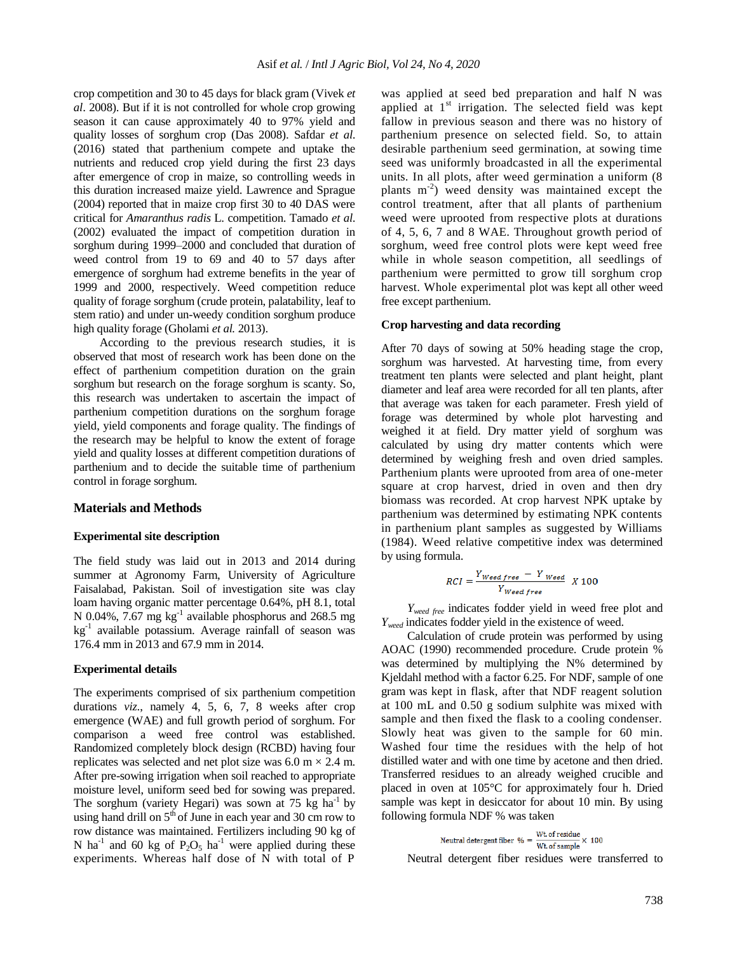crop competition and 30 to 45 days for black gram (Vivek *et al*. 2008). But if it is not controlled for whole crop growing season it can cause approximately 40 to 97% yield and quality losses of sorghum crop (Das 2008). Safdar *et al*. (2016) stated that parthenium compete and uptake the nutrients and reduced crop yield during the first 23 days after emergence of crop in maize, so controlling weeds in this duration increased maize yield. Lawrence and Sprague (2004) reported that in maize crop first 30 to 40 DAS were critical for *Amaranthus radis* L. competition. Tamado *et al*. (2002) evaluated the impact of competition duration in sorghum during 1999–2000 and concluded that duration of weed control from 19 to 69 and 40 to 57 days after emergence of sorghum had extreme benefits in the year of 1999 and 2000, respectively. Weed competition reduce quality of forage sorghum (crude protein, palatability, leaf to stem ratio) and under un-weedy condition sorghum produce high quality forage (Gholami *et al.* 2013).

According to the previous research studies, it is observed that most of research work has been done on the effect of parthenium competition duration on the grain sorghum but research on the forage sorghum is scanty. So, this research was undertaken to ascertain the impact of parthenium competition durations on the sorghum forage yield, yield components and forage quality. The findings of the research may be helpful to know the extent of forage yield and quality losses at different competition durations of parthenium and to decide the suitable time of parthenium control in forage sorghum.

## **Materials and Methods**

## **Experimental site description**

The field study was laid out in 2013 and 2014 during summer at Agronomy Farm, University of Agriculture Faisalabad, Pakistan. Soil of investigation site was clay loam having organic matter percentage 0.64%, pH 8.1, total N 0.04%, 7.67 mg  $kg^{-1}$  available phosphorus and 268.5 mg kg-1 available potassium. Average rainfall of season was 176.4 mm in 2013 and 67.9 mm in 2014.

## **Experimental details**

The experiments comprised of six parthenium competition durations *viz*., namely 4, 5, 6, 7, 8 weeks after crop emergence (WAE) and full growth period of sorghum. For comparison a weed free control was established. Randomized completely block design (RCBD) having four replicates was selected and net plot size was  $6.0 \text{ m} \times 2.4 \text{ m}$ . After pre-sowing irrigation when soil reached to appropriate moisture level, uniform seed bed for sowing was prepared. The sorghum (variety Hegari) was sown at  $75 \text{ kg}$  ha<sup>-1</sup> by using hand drill on  $5<sup>th</sup>$  of June in each year and 30 cm row to row distance was maintained. Fertilizers including 90 kg of N ha<sup>-1</sup> and 60 kg of  $P_2O_5$  ha<sup>-1</sup> were applied during these experiments. Whereas half dose of N with total of P

was applied at seed bed preparation and half N was applied at  $1<sup>st</sup>$  irrigation. The selected field was kept fallow in previous season and there was no history of parthenium presence on selected field. So, to attain desirable parthenium seed germination, at sowing time seed was uniformly broadcasted in all the experimental units. In all plots, after weed germination a uniform (8 plants  $m^{-2}$ ) weed density was maintained except the control treatment, after that all plants of parthenium weed were uprooted from respective plots at durations of 4, 5, 6, 7 and 8 WAE. Throughout growth period of sorghum, weed free control plots were kept weed free while in whole season competition, all seedlings of parthenium were permitted to grow till sorghum crop harvest. Whole experimental plot was kept all other weed free except parthenium.

#### **Crop harvesting and data recording**

After 70 days of sowing at 50% heading stage the crop, sorghum was harvested. At harvesting time, from every treatment ten plants were selected and plant height, plant diameter and leaf area were recorded for all ten plants, after that average was taken for each parameter. Fresh yield of forage was determined by whole plot harvesting and weighed it at field. Dry matter yield of sorghum was calculated by using dry matter contents which were determined by weighing fresh and oven dried samples. Parthenium plants were uprooted from area of one-meter square at crop harvest, dried in oven and then dry biomass was recorded. At crop harvest NPK uptake by parthenium was determined by estimating NPK contents in parthenium plant samples as suggested by Williams (1984). Weed relative competitive index was determined by using formula.

$$
RCI = \frac{Y_{Weed\,free} - Y_{Weed}}{Y_{Weed\,free}} \; X \, 100
$$

*Yweed free* indicates fodder yield in weed free plot and *Yweed* indicates fodder yield in the existence of weed.

Calculation of crude protein was performed by using AOAC (1990) recommended procedure. Crude protein % was determined by multiplying the N% determined by Kjeldahl method with a factor 6.25. For NDF, sample of one gram was kept in flask, after that NDF reagent solution at 100 mL and 0.50 g sodium sulphite was mixed with sample and then fixed the flask to a cooling condenser. Slowly heat was given to the sample for 60 min. Washed four time the residues with the help of hot distilled water and with one time by acetone and then dried. Transferred residues to an already weighed crucible and placed in oven at 105°C for approximately four h. Dried sample was kept in desiccator for about 10 min. By using following formula NDF % was taken

Neutral detergent fiber  $%$  =  $\frac{Wt. of residue}{Wt. of sample} \times 100$ Neutral detergent fiber residues were transferred to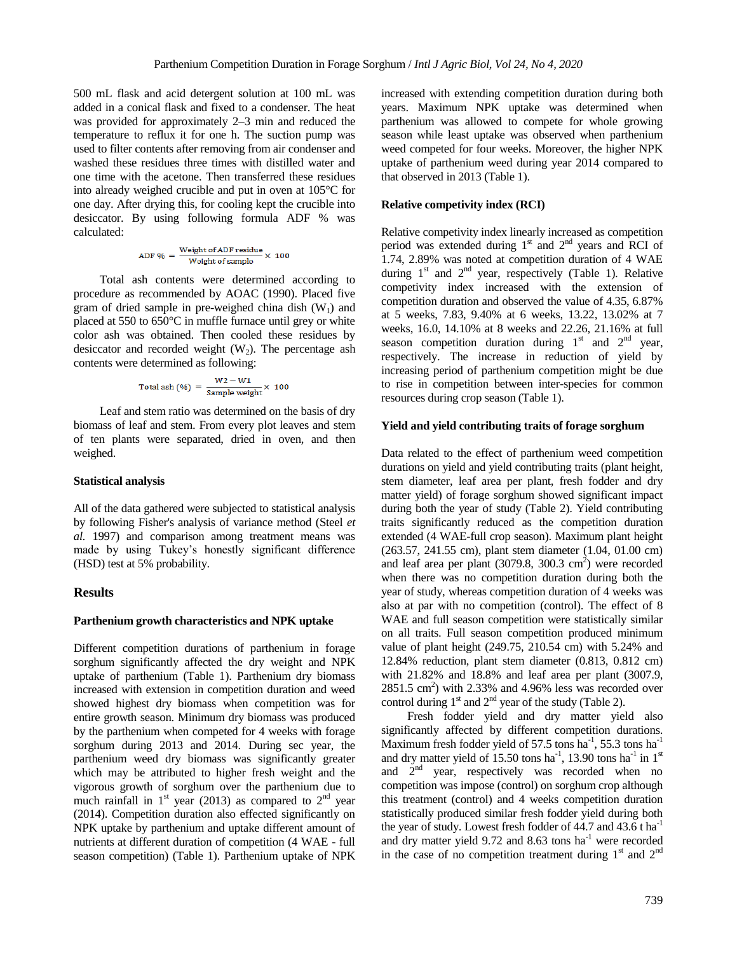500 mL flask and acid detergent solution at 100 mL was added in a conical flask and fixed to a condenser. The heat was provided for approximately 2–3 min and reduced the temperature to reflux it for one h. The suction pump was used to filter contents after removing from air condenser and washed these residues three times with distilled water and one time with the acetone. Then transferred these residues into already weighed crucible and put in oven at 105°C for one day. After drying this, for cooling kept the crucible into desiccator. By using following formula ADF % was calculated:

$$
ADF\% = \frac{Weight of ADF residue}{Weight of sample} \times 100
$$

Total ash contents were determined according to procedure as recommended by AOAC (1990). Placed five gram of dried sample in pre-weighed china dish  $(W_1)$  and placed at 550 to 650°C in muffle furnace until grey or white color ash was obtained. Then cooled these residues by desiccator and recorded weight  $(W_2)$ . The percentage ash contents were determined as following:

Total ash (
$$
\%
$$
) =  $\frac{W2 - W1}{Sample weight} \times 100$ 

Leaf and stem ratio was determined on the basis of dry biomass of leaf and stem. From every plot leaves and stem of ten plants were separated, dried in oven, and then weighed.

## **Statistical analysis**

All of the data gathered were subjected to statistical analysis by following Fisher's analysis of variance method (Steel *et al.* 1997) and comparison among treatment means was made by using Tukey's honestly significant difference (HSD) test at 5% probability.

## **Results**

# **Parthenium growth characteristics and NPK uptake**

Different competition durations of parthenium in forage sorghum significantly affected the dry weight and NPK uptake of parthenium (Table 1). Parthenium dry biomass increased with extension in competition duration and weed showed highest dry biomass when competition was for entire growth season. Minimum dry biomass was produced by the parthenium when competed for 4 weeks with forage sorghum during 2013 and 2014. During sec year, the parthenium weed dry biomass was significantly greater which may be attributed to higher fresh weight and the vigorous growth of sorghum over the parthenium due to much rainfall in  $1<sup>st</sup>$  year (2013) as compared to  $2<sup>nd</sup>$  year (2014). Competition duration also effected significantly on NPK uptake by parthenium and uptake different amount of nutrients at different duration of competition (4 WAE - full season competition) (Table 1). Parthenium uptake of NPK increased with extending competition duration during both years. Maximum NPK uptake was determined when parthenium was allowed to compete for whole growing season while least uptake was observed when parthenium weed competed for four weeks. Moreover, the higher NPK uptake of parthenium weed during year 2014 compared to that observed in 2013 (Table 1).

# **Relative competivity index (RCI)**

Relative competivity index linearly increased as competition period was extended during  $1<sup>st</sup>$  and  $2<sup>nd</sup>$  years and RCI of 1.74, 2.89% was noted at competition duration of 4 WAE during  $1<sup>st</sup>$  and  $2<sup>nd</sup>$  year, respectively (Table 1). Relative competivity index increased with the extension of competition duration and observed the value of 4.35, 6.87% at 5 weeks, 7.83, 9.40% at 6 weeks, 13.22, 13.02% at 7 weeks, 16.0, 14.10% at 8 weeks and 22.26, 21.16% at full season competition duration during  $1<sup>st</sup>$  and  $2<sup>nd</sup>$  year, respectively. The increase in reduction of yield by increasing period of parthenium competition might be due to rise in competition between inter-species for common resources during crop season (Table 1).

## **Yield and yield contributing traits of forage sorghum**

Data related to the effect of parthenium weed competition durations on yield and yield contributing traits (plant height, stem diameter, leaf area per plant, fresh fodder and dry matter yield) of forage sorghum showed significant impact during both the year of study (Table 2). Yield contributing traits significantly reduced as the competition duration extended (4 WAE-full crop season). Maximum plant height (263.57, 241.55 cm), plant stem diameter (1.04, 01.00 cm) and leaf area per plant  $(3079.8, 300.3 \text{ cm}^2)$  were recorded when there was no competition duration during both the year of study, whereas competition duration of 4 weeks was also at par with no competition (control). The effect of 8 WAE and full season competition were statistically similar on all traits. Full season competition produced minimum value of plant height (249.75, 210.54 cm) with 5.24% and 12.84% reduction, plant stem diameter (0.813, 0.812 cm) with 21.82% and 18.8% and leaf area per plant (3007.9,  $2851.5 \text{ cm}^2$ ) with 2.33% and 4.96% less was recorded over control during  $1<sup>st</sup>$  and  $2<sup>nd</sup>$  year of the study (Table 2).

Fresh fodder yield and dry matter yield also significantly affected by different competition durations. Maximum fresh fodder yield of 57.5 tons ha<sup>-1</sup>, 55.3 tons ha<sup>-1</sup> and dry matter yield of 15.50 tons ha<sup>-1</sup>, 13.90 tons ha<sup>-1</sup> in  $1<sup>st</sup>$ and  $2<sup>nd</sup>$  year, respectively was recorded when no competition was impose (control) on sorghum crop although this treatment (control) and 4 weeks competition duration statistically produced similar fresh fodder yield during both the year of study. Lowest fresh fodder of  $44.7$  and  $43.6$  t ha<sup>-1</sup> and dry matter yield 9.72 and 8.63 tons ha<sup>-1</sup> were recorded in the case of no competition treatment during  $1<sup>st</sup>$  and  $2<sup>nd</sup>$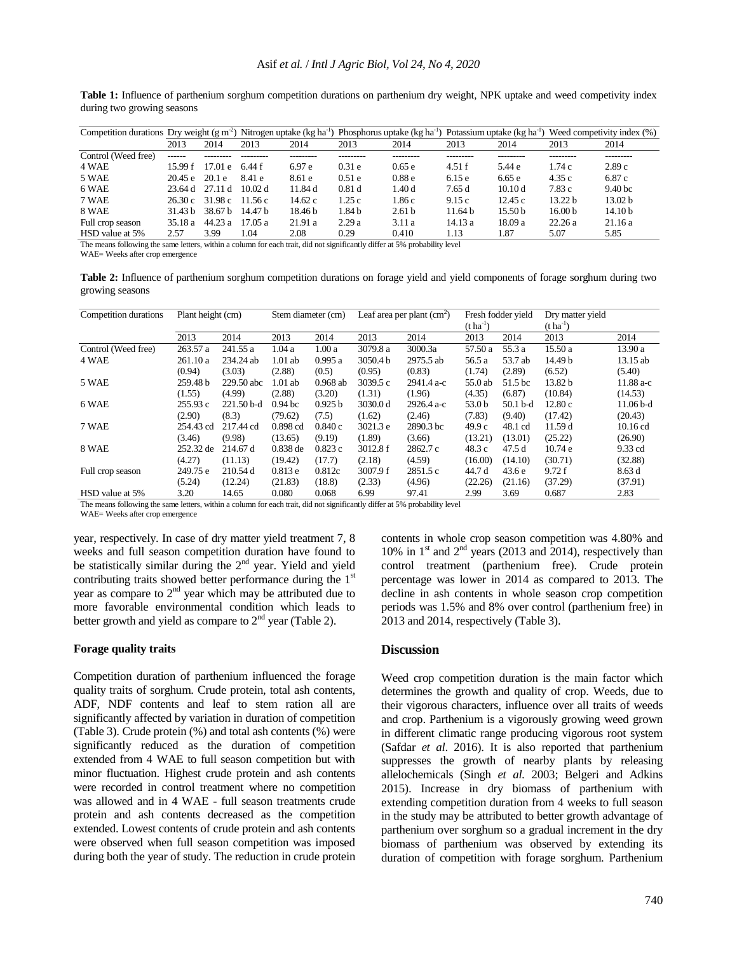**Table 1:** Influence of parthenium sorghum competition durations on parthenium dry weight, NPK uptake and weed competivity index during two growing seasons

|                                                                                                                 |                  |                          |         |         | Competition durations Dry weight (g m <sup>-2</sup> ) Nitrogen uptake (kg ha <sup>-1</sup> ) Phosphorus uptake (kg ha <sup>-1</sup> ) |                   | Potassium uptake $(kg ha^{-1})$ |                    | Weed competivity index (%) |                    |
|-----------------------------------------------------------------------------------------------------------------|------------------|--------------------------|---------|---------|---------------------------------------------------------------------------------------------------------------------------------------|-------------------|---------------------------------|--------------------|----------------------------|--------------------|
|                                                                                                                 | 2013             | 2014                     | 2013    | 2014    | 2013                                                                                                                                  | 2014              | 2013                            | 2014               | 2013                       | 2014               |
| Control (Weed free)                                                                                             |                  |                          |         |         |                                                                                                                                       |                   |                                 |                    |                            |                    |
| 4 WAE                                                                                                           | 15.99 f          | $17.01 \text{ e}$ 6.44 f |         | 6.97e   | 0.31 <sub>e</sub>                                                                                                                     | 0.65e             | 4.51 f                          | 5.44 e             | 1.74c                      | 2.89c              |
| 5 WAE                                                                                                           | $20.45 e$ 20.1 e |                          | 8.41 e  | 8.61 e  | 0.51e                                                                                                                                 | 0.88 <sub>e</sub> | 6.15e                           | 6.65e              | 4.35c                      | 6.87 c             |
| 6 WAE                                                                                                           |                  | 23.64 d 27.11 d          | 10.02 d | 11.84 d | 0.81 <sub>d</sub>                                                                                                                     | 1.40 d            | 7.65 d                          | 10.10d             | 7.83c                      | 9.40 bc            |
| 7 WAE                                                                                                           |                  | 26.30 c 31.98 c 11.56 c  |         | 14.62c  | 1.25c                                                                                                                                 | 1.86 c            | 9.15c                           | 12.45c             | 13.22 <sub>b</sub>         | 13.02 <sub>b</sub> |
| 8 WAE                                                                                                           |                  | $31.43b$ 38.67b 14.47b   |         | 18.46 b | 1.84 b                                                                                                                                | 2.61 <sub>b</sub> | 11.64 b                         | 15.50 <sub>b</sub> | 16.00 <sub>b</sub>         | 14.10 <sub>b</sub> |
| Full crop season                                                                                                | 35.18 a          | 44.23 a                  | 17.05 a | 21.91a  | 2.29a                                                                                                                                 | 3.11a             | 14.13a                          | 18.09a             | 22.26a                     | 21.16a             |
| HSD value at 5%                                                                                                 | 2.57             | 3.99                     | 1.04    | 2.08    | 0.29                                                                                                                                  | 0.410             | 1.13                            | 1.87               | 5.07                       | 5.85               |
| ment and the three states of the three and the state of the total three states of the total three states of the |                  |                          |         |         |                                                                                                                                       |                   |                                 |                    |                            |                    |

The means following the same letters, within a column for each trait, did not significantly differ at 5% probability level WAE= Weeks after crop emergence

**Table 2:** Influence of parthenium sorghum competition durations on forage yield and yield components of forage sorghum during two growing seasons

| Competition durations | Plant height (cm) |             | Stem diameter (cm) |            | Leaf area per plant $(cm2)$ |            | Fresh fodder yield<br>$(t \, ha^{-1})$ |           | Dry matter yield<br>$(t \, ha^{-1})$ |            |
|-----------------------|-------------------|-------------|--------------------|------------|-----------------------------|------------|----------------------------------------|-----------|--------------------------------------|------------|
|                       | 2013              | 2014        | 2013               | 2014       | 2013                        | 2014       | 2013                                   | 2014      | 2013                                 | 2014       |
| Control (Weed free)   | 263.57 a          | 241.55 a    | 1.04a              | 1.00a      | 3079.8 a                    | 3000.3a    | 57.50 a                                | 55.3 a    | 15.50 a                              | 13.90a     |
| 4 WAE                 | 261.10a           | 234.24 ab   | $1.01$ ab          | 0.995a     | 3050.4 b                    | 2975.5 ab  | 56.5 a                                 | 53.7 ab   | 14.49 b                              | 13.15 ab   |
|                       | (0.94)            | (3.03)      | (2.88)             | (0.5)      | (0.95)                      | (0.83)     | (1.74)                                 | (2.89)    | (6.52)                               | (5.40)     |
| 5 WAE                 | 259.48 b          | 229.50 abc  | $1.01$ ab          | $0.968$ ab | 3039.5 c                    | 2941.4 a-c | 55.0 ab                                | 51.5 bc   | 13.82 b                              | 11.88 a-c  |
|                       | (1.55)            | (4.99)      | (2.88)             | (3.20)     | (1.31)                      | (1.96)     | (4.35)                                 | (6.87)    | (10.84)                              | (14.53)    |
| 6 WAE                 | 255.93 c          | $221.50b-d$ | 0.94 <sub>b</sub>  | 0.925 b    | 3030.0 d                    | 2926.4 a-c | 53.0 b                                 | $50.1b-d$ | 12.80 c                              | $11.06b-d$ |
|                       | (2.90)            | (8.3)       | (79.62)            | (7.5)      | (1.62)                      | (2.46)     | (7.83)                                 | (9.40)    | (17.42)                              | (20.43)    |
| 7 WAE                 | 254.43 cd         | 217.44 cd   | 0.898 cd           | 0.840c     | 3021.3 e                    | 2890.3 bc  | 49.9c                                  | 48.1 cd   | 11.59d                               | $10.16$ cd |
|                       | (3.46)            | (9.98)      | (13.65)            | (9.19)     | (1.89)                      | (3.66)     | (13.21)                                | (13.01)   | (25.22)                              | (26.90)    |
| 8 WAE                 | 252.32 de         | 214.67 d    | $0.838$ de         | 0.823c     | 3012.8 f                    | 2862.7 c   | 48.3 c                                 | 47.5d     | 10.74 e                              | 9.33 cd    |
|                       | (4.27)            | (11.13)     | (19.42)            | (17.7)     | (2.18)                      | (4.59)     | (16.00)                                | (14.10)   | (30.71)                              | (32.88)    |
| Full crop season      | 249.75 e          | 210.54 d    | 0.813e             | 0.812c     | 3007.9 f                    | 2851.5 c   | 44.7 d                                 | 43.6e     | 9.72 f                               | 8.63d      |
|                       | (5.24)            | (12.24)     | (21.83)            | (18.8)     | (2.33)                      | (4.96)     | (22.26)                                | (21.16)   | (37.29)                              | (37.91)    |
| HSD value at 5%       | 3.20              | 14.65       | 0.080              | 0.068      | 6.99                        | 97.41      | 2.99                                   | 3.69      | 0.687                                | 2.83       |

The means following the same letters, within a column for each trait, did not significantly differ at 5% probability level

WAE= Weeks after crop emergence

year, respectively. In case of dry matter yield treatment 7, 8 weeks and full season competition duration have found to be statistically similar during the  $2<sup>nd</sup>$  year. Yield and yield contributing traits showed better performance during the  $1<sup>st</sup>$ year as compare to  $2<sup>nd</sup>$  year which may be attributed due to more favorable environmental condition which leads to better growth and yield as compare to  $2<sup>nd</sup>$  year (Table 2).

#### **Forage quality traits**

Competition duration of parthenium influenced the forage quality traits of sorghum. Crude protein, total ash contents, ADF, NDF contents and leaf to stem ration all are significantly affected by variation in duration of competition (Table 3). Crude protein (%) and total ash contents (%) were significantly reduced as the duration of competition extended from 4 WAE to full season competition but with minor fluctuation. Highest crude protein and ash contents were recorded in control treatment where no competition was allowed and in 4 WAE - full season treatments crude protein and ash contents decreased as the competition extended. Lowest contents of crude protein and ash contents were observed when full season competition was imposed during both the year of study. The reduction in crude protein

contents in whole crop season competition was 4.80% and 10% in  $1<sup>st</sup>$  and  $2<sup>nd</sup>$  years (2013 and 2014), respectively than control treatment (parthenium free). Crude protein percentage was lower in 2014 as compared to 2013. The decline in ash contents in whole season crop competition periods was 1.5% and 8% over control (parthenium free) in 2013 and 2014, respectively (Table 3).

## **Discussion**

Weed crop competition duration is the main factor which determines the growth and quality of crop. Weeds, due to their vigorous characters, influence over all traits of weeds and crop. Parthenium is a vigorously growing weed grown in different climatic range producing vigorous root system (Safdar *et al*. 2016). It is also reported that parthenium suppresses the growth of nearby plants by releasing allelochemicals (Singh *et al.* 2003; Belgeri and Adkins 2015). Increase in dry biomass of parthenium with extending competition duration from 4 weeks to full season in the study may be attributed to better growth advantage of parthenium over sorghum so a gradual increment in the dry biomass of parthenium was observed by extending its duration of competition with forage sorghum. Parthenium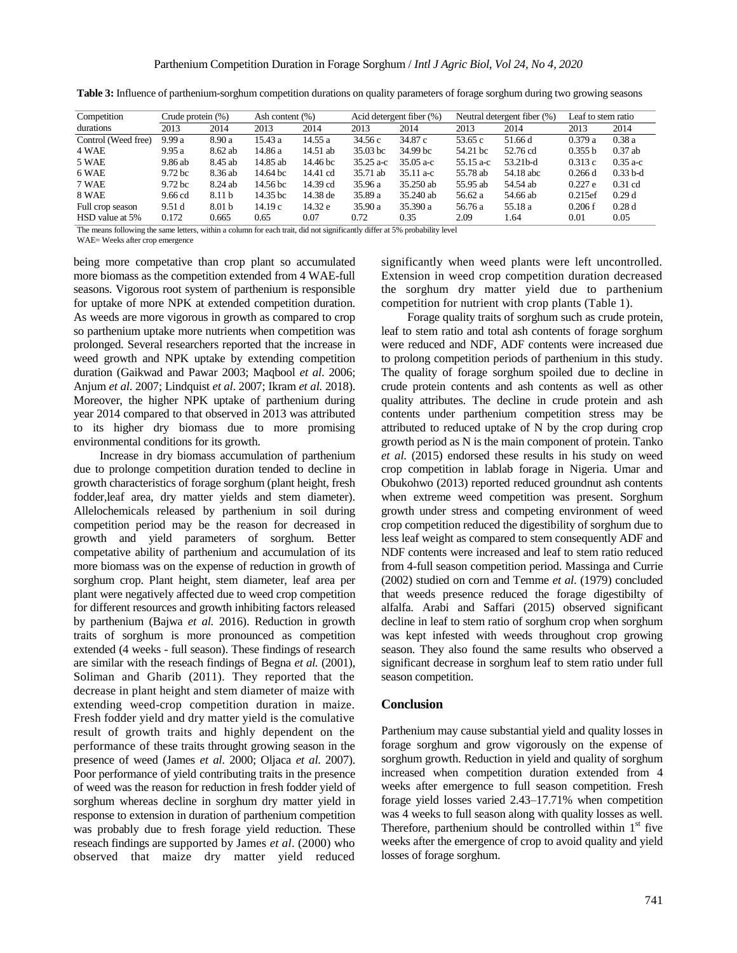| Competition         | Crude protein (%) |                   | Ash content (%) |          | Acid detergent fiber (%) |             | Neutral detergent fiber (%) |           | Leaf to stem ratio |            |
|---------------------|-------------------|-------------------|-----------------|----------|--------------------------|-------------|-----------------------------|-----------|--------------------|------------|
| durations           | 2013              | 2014              | 2013            | 2014     | 2013                     | 2014        | 2013                        | 2014      | 2013               | 2014       |
| Control (Weed free) | 9.99a             | 8.90 a            | 15.43 a         | 14.55 a  | 34.56 c                  | 34.87 c     | 53.65 c                     | 51.66 d   | 0.379a             | 0.38a      |
| 4 WAE               | 9.95a             | 8.62 ab           | 14.86 a         | 14.51 ab | 35.03 <sub>bc</sub>      | 34.99 bc    | 54.21 bc                    | 52.76 cd  | 0.355 b            | $0.37$ ab  |
| 5 WAE               | 9.86 ab           | 8.45 ab           | 14.85 ab        | 14.46 bc | $35.25$ a-c              | $35.05$ a-c | 55.15 a-c                   | 53.21b-d  | 0.313c             | $0.35$ a-c |
| 6 WAE               | 9.72 bc           | 8.36 ab           | 14.64 bc        | 14.41 cd | 35.71 ab                 | $35.11 a-c$ | 55.78 ab                    | 54.18 abc | 0.266 d            | $0.33b-d$  |
| 7 WAE               | 9.72 bc           | 8.24 ab           | 14.56 bc        | 14.39 cd | 35.96 a                  | 35.250 ab   | 55.95 ab                    | 54.54 ab  | $0.227$ e          | $0.31$ cd  |
| 8 WAE               | 9.66 cd           | 8.11 b            | 14.35 bc        | 14.38 de | 35.89 a                  | 35.240 ab   | 56.62 a                     | 54.66 ab  | 0.215ef            | 0.29d      |
| Full crop season    | 9.51 d            | 8.01 <sub>b</sub> | 14.19c          | 14.32 e  | 35.90a                   | 35.390 a    | 56.76 a                     | 55.18 a   | 0.206 f            | 0.28d      |
| HSD value at 5%     | 0.172             | 0.665             | 0.65            | 0.07     | 0.72                     | 0.35        | 2.09                        | 1.64      | 0.01               | 0.05       |

**Table 3:** Influence of parthenium-sorghum competition durations on quality parameters of forage sorghum during two growing seasons

The means following the same letters, within a column for each trait, did not significantly differ at 5% probability level

WAE= Weeks after crop emergence

being more competative than crop plant so accumulated more biomass as the competition extended from 4 WAE-full seasons. Vigorous root system of parthenium is responsible for uptake of more NPK at extended competition duration. As weeds are more vigorous in growth as compared to crop so parthenium uptake more nutrients when competition was prolonged. Several researchers reported that the increase in weed growth and NPK uptake by extending competition duration (Gaikwad and Pawar 2003; Maqbool *et al*. 2006; Anjum *et al*. 2007; Lindquist *et al*. 2007; Ikram *et al.* 2018). Moreover, the higher NPK uptake of parthenium during year 2014 compared to that observed in 2013 was attributed to its higher dry biomass due to more promising environmental conditions for its growth.

Increase in dry biomass accumulation of parthenium due to prolonge competition duration tended to decline in growth characteristics of forage sorghum (plant height, fresh fodder,leaf area, dry matter yields and stem diameter). Allelochemicals released by parthenium in soil during competition period may be the reason for decreased in growth and yield parameters of sorghum. Better competative ability of parthenium and accumulation of its more biomass was on the expense of reduction in growth of sorghum crop. Plant height, stem diameter, leaf area per plant were negatively affected due to weed crop competition for different resources and growth inhibiting factors released by parthenium (Bajwa *et al.* 2016). Reduction in growth traits of sorghum is more pronounced as competition extended (4 weeks - full season). These findings of research are similar with the reseach findings of Begna *et al.* (2001), Soliman and Gharib (2011). They reported that the decrease in plant height and stem diameter of maize with extending weed-crop competition duration in maize. Fresh fodder yield and dry matter yield is the comulative result of growth traits and highly dependent on the performance of these traits throught growing season in the presence of weed (James *et al*. 2000; Oljaca *et al*. 2007). Poor performance of yield contributing traits in the presence of weed was the reason for reduction in fresh fodder yield of sorghum whereas decline in sorghum dry matter yield in response to extension in duration of parthenium competition was probably due to fresh forage yield reduction. These reseach findings are supported by James *et al*. (2000) who observed that maize dry matter yield reduced

significantly when weed plants were left uncontrolled. Extension in weed crop competition duration decreased the sorghum dry matter yield due to parthenium competition for nutrient with crop plants (Table 1).

Forage quality traits of sorghum such as crude protein, leaf to stem ratio and total ash contents of forage sorghum were reduced and NDF, ADF contents were increased due to prolong competition periods of parthenium in this study. The quality of forage sorghum spoiled due to decline in crude protein contents and ash contents as well as other quality attributes. The decline in crude protein and ash contents under parthenium competition stress may be attributed to reduced uptake of N by the crop during crop growth period as N is the main component of protein. Tanko *et al*. (2015) endorsed these results in his study on weed crop competition in lablab forage in Nigeria. Umar and Obukohwo (2013) reported reduced groundnut ash contents when extreme weed competition was present. Sorghum growth under stress and competing environment of weed crop competition reduced the digestibility of sorghum due to less leaf weight as compared to stem consequently ADF and NDF contents were increased and leaf to stem ratio reduced from 4-full season competition period. Massinga and Currie (2002) studied on corn and Temme *et al*. (1979) concluded that weeds presence reduced the forage digestibilty of alfalfa. Arabi and Saffari (2015) observed significant decline in leaf to stem ratio of sorghum crop when sorghum was kept infested with weeds throughout crop growing season. They also found the same results who observed a significant decrease in sorghum leaf to stem ratio under full season competition.

## **Conclusion**

Parthenium may cause substantial yield and quality losses in forage sorghum and grow vigorously on the expense of sorghum growth. Reduction in yield and quality of sorghum increased when competition duration extended from 4 weeks after emergence to full season competition. Fresh forage yield losses varied 2.43–17.71% when competition was 4 weeks to full season along with quality losses as well. Therefore, parthenium should be controlled within  $1<sup>st</sup>$  five weeks after the emergence of crop to avoid quality and yield losses of forage sorghum.